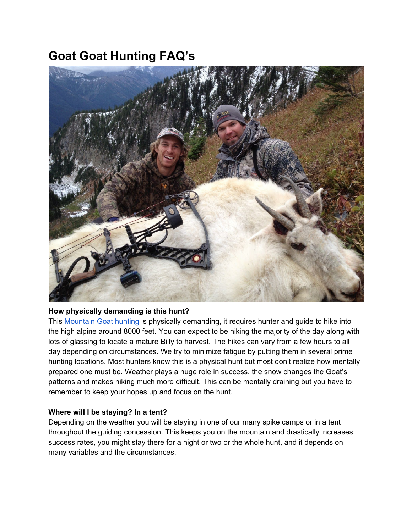# **Goat Goat Hunting FAQ's**



## **How physically demanding is this hunt?**

This [Mountain](http://toaltd.com/project/mountain-goats/) Goat hunting is physically demanding, it requires hunter and guide to hike into the high alpine around 8000 feet. You can expect to be hiking the majority of the day along with lots of glassing to locate a mature Billy to harvest. The hikes can vary from a few hours to all day depending on circumstances. We try to minimize fatigue by putting them in several prime hunting locations. Most hunters know this is a physical hunt but most don't realize how mentally prepared one must be. Weather plays a huge role in success, the snow changes the Goat's patterns and makes hiking much more difficult. This can be mentally draining but you have to remember to keep your hopes up and focus on the hunt.

# **Where will I be staying? In a tent?**

Depending on the weather you will be staying in one of our many spike camps or in a tent throughout the guiding concession. This keeps you on the mountain and drastically increases success rates, you might stay there for a night or two or the whole hunt, and it depends on many variables and the circumstances.